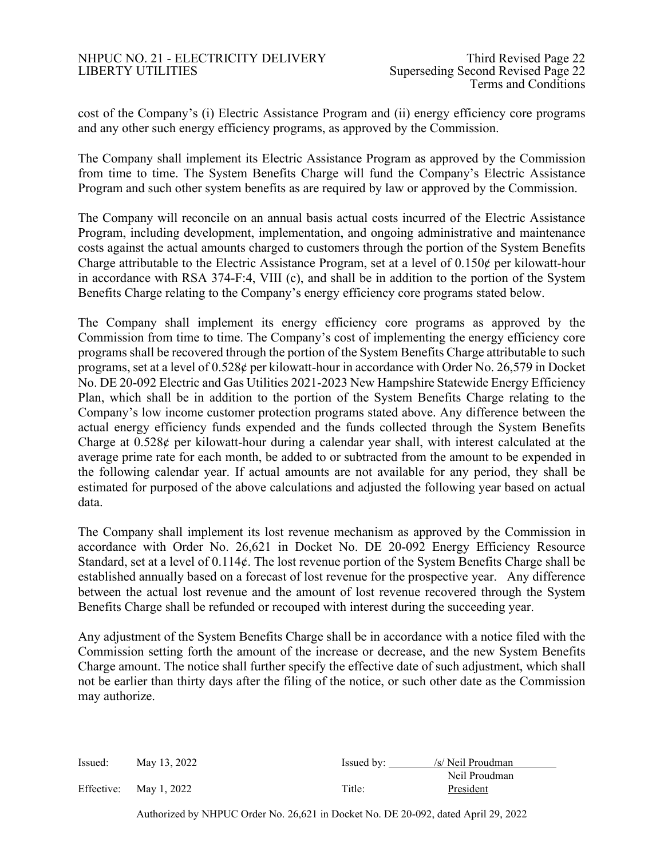## NHPUC NO. 21 - ELECTRICITY DELIVERY Third Revised Page 22 LIBERTY UTILITIES Superseding Second Revised Page 22

cost of the Company's (i) Electric Assistance Program and (ii) energy efficiency core programs and any other such energy efficiency programs, as approved by the Commission.

The Company shall implement its Electric Assistance Program as approved by the Commission from time to time. The System Benefits Charge will fund the Company's Electric Assistance Program and such other system benefits as are required by law or approved by the Commission.

The Company will reconcile on an annual basis actual costs incurred of the Electric Assistance Program, including development, implementation, and ongoing administrative and maintenance costs against the actual amounts charged to customers through the portion of the System Benefits Charge attributable to the Electric Assistance Program, set at a level of  $0.150\phi$  per kilowatt-hour in accordance with RSA 374-F:4, VIII (c), and shall be in addition to the portion of the System Benefits Charge relating to the Company's energy efficiency core programs stated below.

The Company shall implement its energy efficiency core programs as approved by the Commission from time to time. The Company's cost of implementing the energy efficiency core programs shall be recovered through the portion of the System Benefits Charge attributable to such programs, set at a level of 0.528¢ per kilowatt-hour in accordance with Order No. 26,579 in Docket No. DE 20-092 Electric and Gas Utilities 2021-2023 New Hampshire Statewide Energy Efficiency Plan, which shall be in addition to the portion of the System Benefits Charge relating to the Company's low income customer protection programs stated above. Any difference between the actual energy efficiency funds expended and the funds collected through the System Benefits Charge at  $0.528\ell$  per kilowatt-hour during a calendar year shall, with interest calculated at the average prime rate for each month, be added to or subtracted from the amount to be expended in the following calendar year. If actual amounts are not available for any period, they shall be estimated for purposed of the above calculations and adjusted the following year based on actual data.

The Company shall implement its lost revenue mechanism as approved by the Commission in accordance with Order No. 26,621 in Docket No. DE 20-092 Energy Efficiency Resource Standard, set at a level of 0.114¢. The lost revenue portion of the System Benefits Charge shall be established annually based on a forecast of lost revenue for the prospective year. Any difference between the actual lost revenue and the amount of lost revenue recovered through the System Benefits Charge shall be refunded or recouped with interest during the succeeding year.

Any adjustment of the System Benefits Charge shall be in accordance with a notice filed with the Commission setting forth the amount of the increase or decrease, and the new System Benefits Charge amount. The notice shall further specify the effective date of such adjustment, which shall not be earlier than thirty days after the filing of the notice, or such other date as the Commission may authorize.

| Issued: | May 13, 2022           | Issued by: | /s/ Neil Proudman |
|---------|------------------------|------------|-------------------|
|         |                        |            | Neil Proudman     |
|         | Effective: May 1, 2022 | Title:     | President         |

Authorized by NHPUC Order No. 26,621 in Docket No. DE 20-092, dated April 29, 2022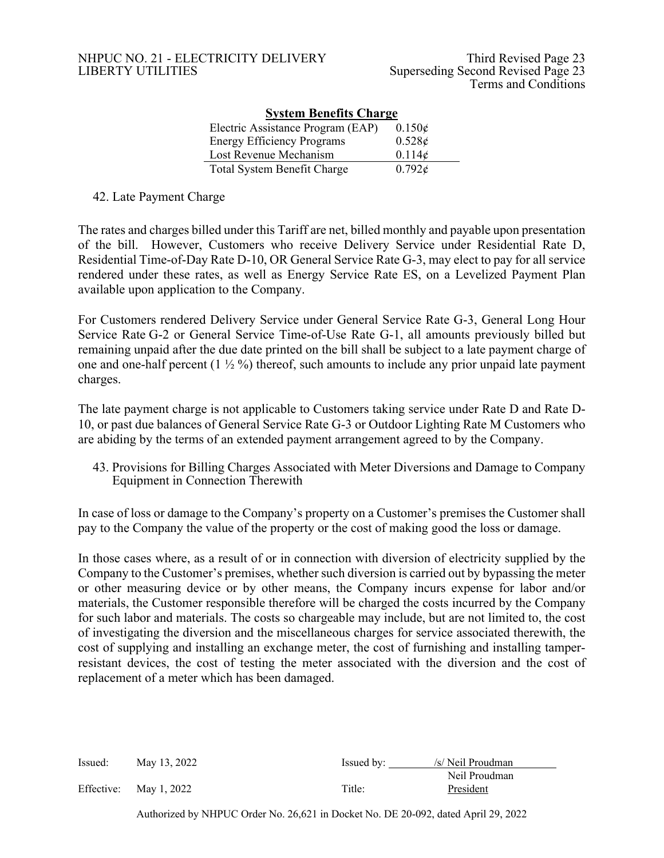| <b>System Benefits Charge</b>      |                 |  |  |  |  |  |  |  |  |  |
|------------------------------------|-----------------|--|--|--|--|--|--|--|--|--|
| Electric Assistance Program (EAP)  | $0.150\epsilon$ |  |  |  |  |  |  |  |  |  |
| <b>Energy Efficiency Programs</b>  | 0.528c          |  |  |  |  |  |  |  |  |  |
| Lost Revenue Mechanism             | 0.114¢          |  |  |  |  |  |  |  |  |  |
| <b>Total System Benefit Charge</b> | 0.792c          |  |  |  |  |  |  |  |  |  |

42. Late Payment Charge

The rates and charges billed under this Tariff are net, billed monthly and payable upon presentation of the bill. However, Customers who receive Delivery Service under Residential Rate D, Residential Time-of-Day Rate D-10, OR General Service Rate G-3, may elect to pay for all service rendered under these rates, as well as Energy Service Rate ES, on a Levelized Payment Plan available upon application to the Company.

For Customers rendered Delivery Service under General Service Rate G-3, General Long Hour Service Rate G-2 or General Service Time-of-Use Rate G-1, all amounts previously billed but remaining unpaid after the due date printed on the bill shall be subject to a late payment charge of one and one-half percent  $(1 \frac{1}{2} \%)$  thereof, such amounts to include any prior unpaid late payment charges.

The late payment charge is not applicable to Customers taking service under Rate D and Rate D-10, or past due balances of General Service Rate G-3 or Outdoor Lighting Rate M Customers who are abiding by the terms of an extended payment arrangement agreed to by the Company.

43. Provisions for Billing Charges Associated with Meter Diversions and Damage to Company Equipment in Connection Therewith

In case of loss or damage to the Company's property on a Customer's premises the Customer shall pay to the Company the value of the property or the cost of making good the loss or damage.

In those cases where, as a result of or in connection with diversion of electricity supplied by the Company to the Customer's premises, whether such diversion is carried out by bypassing the meter or other measuring device or by other means, the Company incurs expense for labor and/or materials, the Customer responsible therefore will be charged the costs incurred by the Company for such labor and materials. The costs so chargeable may include, but are not limited to, the cost of investigating the diversion and the miscellaneous charges for service associated therewith, the cost of supplying and installing an exchange meter, the cost of furnishing and installing tamperresistant devices, the cost of testing the meter associated with the diversion and the cost of replacement of a meter which has been damaged.

| Issued: | May 13, 2022           | Issued by: | /s/ Neil Proudman |
|---------|------------------------|------------|-------------------|
|         |                        |            | Neil Proudman     |
|         | Effective: May 1, 2022 | Title:     | President         |

Authorized by NHPUC Order No. 26,621 in Docket No. DE 20-092, dated April 29, 2022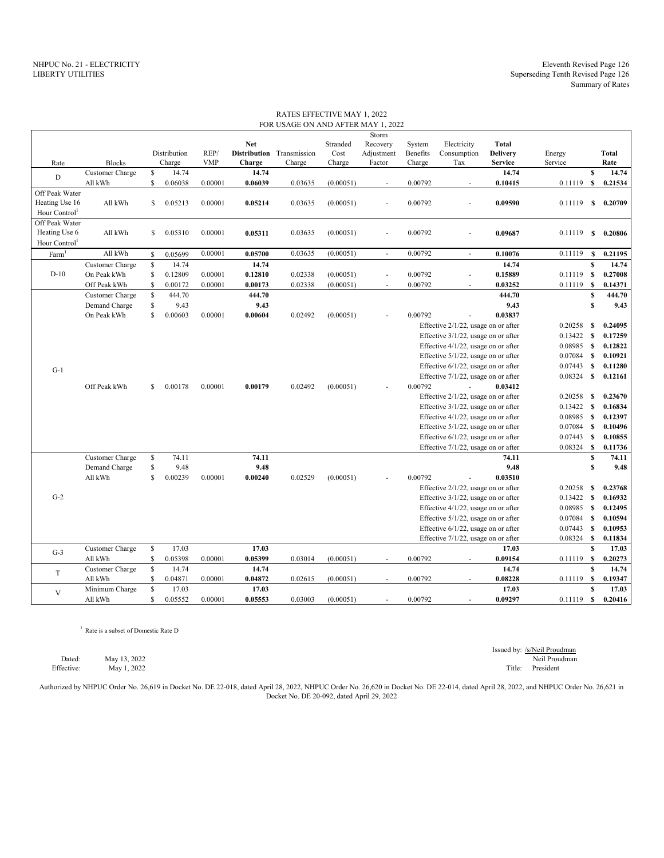|                           |                 |               |              |            |            | FOR USAGE ON AND AFTER MAY 1, 2022 |           |                          |          |                                        |                 |              |              |         |
|---------------------------|-----------------|---------------|--------------|------------|------------|------------------------------------|-----------|--------------------------|----------|----------------------------------------|-----------------|--------------|--------------|---------|
|                           |                 |               |              |            |            |                                    |           | Storm                    |          |                                        |                 |              |              |         |
|                           |                 |               |              |            | <b>Net</b> |                                    | Stranded  | Recovery                 | System   | Electricity                            | Total           |              |              |         |
|                           |                 |               | Distribution | REP/       |            | Distribution Transmission          | Cost      | Adjustment               | Benefits | Consumption                            | <b>Delivery</b> | Energy       |              | Total   |
| Rate                      | <b>Blocks</b>   |               | Charge       | <b>VMP</b> | Charge     | Charge                             | Charge    | Factor                   | Charge   | Tax                                    | Service         | Service      |              | Rate    |
| D                         | Customer Charge | \$            | 14.74        |            | 14.74      |                                    |           |                          |          |                                        | 14.74           |              | $\mathbf{s}$ | 14.74   |
|                           | All kWh         | $\mathbf{s}$  | 0.06038      | 0.00001    | 0.06039    | 0.03635                            | (0.00051) | ÷                        | 0.00792  | ÷.                                     | 0.10415         | 0.11119      | s            | 0.21534 |
| Off Peak Water            |                 |               |              |            |            |                                    |           |                          |          |                                        |                 |              |              |         |
| Heating Use 16            | All kWh         | <sup>\$</sup> | 0.05213      | 0.00001    | 0.05214    | 0.03635                            | (0.00051) | ÷.                       | 0.00792  |                                        | 0.09590         | 0.11119      | S            | 0.20709 |
| Hour Control <sup>1</sup> |                 |               |              |            |            |                                    |           |                          |          |                                        |                 |              |              |         |
| Off Peak Water            |                 |               |              |            |            |                                    |           |                          |          |                                        |                 |              |              |         |
| Heating Use 6             | All kWh         | \$            | 0.05310      | 0.00001    | 0.05311    | 0.03635                            | (0.00051) | ä,                       | 0.00792  | ä,                                     | 0.09687         | 0.11119      | S            | 0.20806 |
| Hour Control              |                 |               |              |            |            |                                    |           |                          |          |                                        |                 |              |              |         |
| Farm <sup>1</sup>         | All kWh         | $\mathbb{S}$  | 0.05699      | 0.00001    | 0.05700    | 0.03635                            | (0.00051) | $\omega$                 | 0.00792  | ÷.                                     | 0.10076         | 0.11119      | $\mathbb S$  | 0.21195 |
|                           | Customer Charge | $\mathsf{\$}$ | 14.74        |            | 14.74      |                                    |           |                          |          |                                        | 14.74           |              | $\mathbf{s}$ | 14.74   |
| $D-10$                    | On Peak kWh     | \$            | 0.12809      | 0.00001    | 0.12810    | 0.02338                            | (0.00051) | ÷,                       | 0.00792  | ä,                                     | 0.15889         | 0.11119      | $\mathbf s$  | 0.27008 |
|                           | Off Peak kWh    | $\mathbb{S}$  | 0.00172      | 0.00001    | 0.00173    | 0.02338                            | (0.00051) | ä,                       | 0.00792  | ä,                                     | 0.03252         | 0.11119      | $\mathbf s$  | 0.14371 |
|                           | Customer Charge | \$            | 444.70       |            | 444.70     |                                    |           |                          |          |                                        | 444.70          |              | $\mathbf{s}$ | 444.70  |
|                           | Demand Charge   | \$            | 9.43         |            | 9.43       |                                    |           |                          |          |                                        | 9.43            |              | S            | 9.43    |
|                           | On Peak kWh     | $\mathbf S$   | 0.00603      | 0.00001    | 0.00604    | 0.02492                            | (0.00051) |                          | 0.00792  |                                        | 0.03837         |              |              |         |
|                           |                 |               |              |            |            |                                    |           |                          |          | Effective 2/1/22, usage on or after    |                 | 0.20258      | S            | 0.24095 |
|                           |                 |               |              |            |            |                                    |           |                          |          | Effective 3/1/22, usage on or after    |                 | 0.13422      | S            | 0.17259 |
|                           |                 |               |              |            |            |                                    |           |                          |          |                                        |                 |              |              |         |
|                           |                 |               |              |            |            |                                    |           |                          |          | Effective 4/1/22, usage on or after    |                 | 0.08985      | S            | 0.12822 |
|                           |                 |               |              |            |            |                                    |           |                          |          | Effective 5/1/22, usage on or after    |                 | 0.07084      | S            | 0.10921 |
| $G-1$                     |                 |               |              |            |            |                                    |           |                          |          | Effective $6/1/22$ , usage on or after |                 | 0.07443      | S            | 0.11280 |
|                           |                 |               |              |            |            |                                    |           |                          |          | Effective 7/1/22, usage on or after    |                 | 0.08324      | S            | 0.12161 |
|                           | Off Peak kWh    | $\mathbf S$   | 0.00178      | 0.00001    | 0.00179    | 0.02492                            | (0.00051) |                          | 0.00792  |                                        | 0.03412         |              |              |         |
|                           |                 |               |              |            |            |                                    |           |                          |          | Effective 2/1/22, usage on or after    |                 | 0.20258      | <b>S</b>     | 0.23670 |
|                           |                 |               |              |            |            |                                    |           |                          |          | Effective 3/1/22, usage on or after    |                 | 0.13422 S    |              | 0.16834 |
|                           |                 |               |              |            |            |                                    |           |                          |          | Effective $4/1/22$ , usage on or after |                 | $0.08985$ \$ |              | 0.12397 |
|                           |                 |               |              |            |            |                                    |           |                          |          | Effective 5/1/22, usage on or after    |                 | 0.07084      | $\mathbf s$  | 0.10496 |
|                           |                 |               |              |            |            |                                    |           |                          |          | Effective $6/1/22$ , usage on or after |                 | $0.07443$ \$ |              | 0.10855 |
|                           |                 |               |              |            |            |                                    |           |                          |          | Effective 7/1/22, usage on or after    |                 | 0.08324      | $\mathbf s$  | 0.11736 |
|                           | Customer Charge | \$            | 74.11        |            | 74.11      |                                    |           |                          |          |                                        | 74.11           |              | $\mathbf{s}$ | 74.11   |
|                           | Demand Charge   | $\mathbb{S}$  | 9.48         |            | 9.48       |                                    |           |                          |          |                                        | 9.48            |              | S            | 9.48    |
|                           | All kWh         | $\mathbb{S}$  | 0.00239      | 0.00001    | 0.00240    | 0.02529                            | (0.00051) |                          | 0.00792  |                                        | 0.03510         |              |              |         |
|                           |                 |               |              |            |            |                                    |           |                          |          | Effective 2/1/22, usage on or after    |                 | 0.20258      | S            | 0.23768 |
| $G-2$                     |                 |               |              |            |            |                                    |           |                          |          | Effective 3/1/22, usage on or after    |                 | 0.13422      | S            | 0.16932 |
|                           |                 |               |              |            |            |                                    |           |                          |          | Effective 4/1/22, usage on or after    |                 | 0.08985      | $\mathbf{s}$ | 0.12495 |
|                           |                 |               |              |            |            |                                    |           |                          |          | Effective 5/1/22, usage on or after    |                 | 0.07084      | $\mathbf s$  | 0.10594 |
|                           |                 |               |              |            |            |                                    |           |                          |          | Effective 6/1/22, usage on or after    |                 | 0.07443      | $\mathbf{s}$ | 0.10953 |
|                           |                 |               |              |            |            |                                    |           |                          |          | Effective 7/1/22, usage on or after    |                 | 0.08324      | $\mathbf s$  | 0.11834 |
|                           | Customer Charge | \$            | 17.03        |            | 17.03      |                                    |           |                          |          |                                        | 17.03           |              | $\mathbf{s}$ | 17.03   |
| $G-3$                     | All kWh         | \$            | 0.05398      | 0.00001    | 0.05399    | 0.03014                            | (0.00051) | $\overline{\phantom{a}}$ | 0.00792  |                                        | 0.09154         | 0.11119      | s            | 0.20273 |
|                           | Customer Charge | $\mathsf{\$}$ | 14.74        |            | 14.74      |                                    |           |                          |          |                                        | 14.74           |              | $\pmb{s}$    | 14.74   |
| T                         | All kWh         | \$            | 0.04871      | 0.00001    | 0.04872    | 0.02615                            | (0.00051) | $\sim$                   | 0.00792  | $\sim$                                 | 0.08228         | 0.11119      | s            | 0.19347 |
|                           | Minimum Charge  | \$            | 17.03        |            | 17.03      |                                    |           |                          |          |                                        | 17.03           |              | \$           | 17.03   |
| $\mathbf{V}$              | All kWh         | S.            | 0.05552      | 0.00001    | 0.05553    | 0.03003                            | (0.00051) | ä,                       | 0.00792  |                                        | 0.09297         | 0.11119      | s            | 0.20416 |

RATES EFFECTIVE MAY 1, 2022

<sup>1</sup> Rate is a subset of Domestic Rate D

Dated: May 13, 2022 Neil Proudman Effective: May 1, 2022 Title: President Title: President

Issued by: /s/Neil Proudman<br>Neil Proudman

Authorized by NHPUC Order No. 26,619 in Docket No. DE 22-018, dated April 28, 2022, NHPUC Order No. 26,620 in Docket No. DE 22-014, dated April 28, 2022, and NHPUC Order No. 26,621 in Docket No. DE 20-092, dated April 29, 2022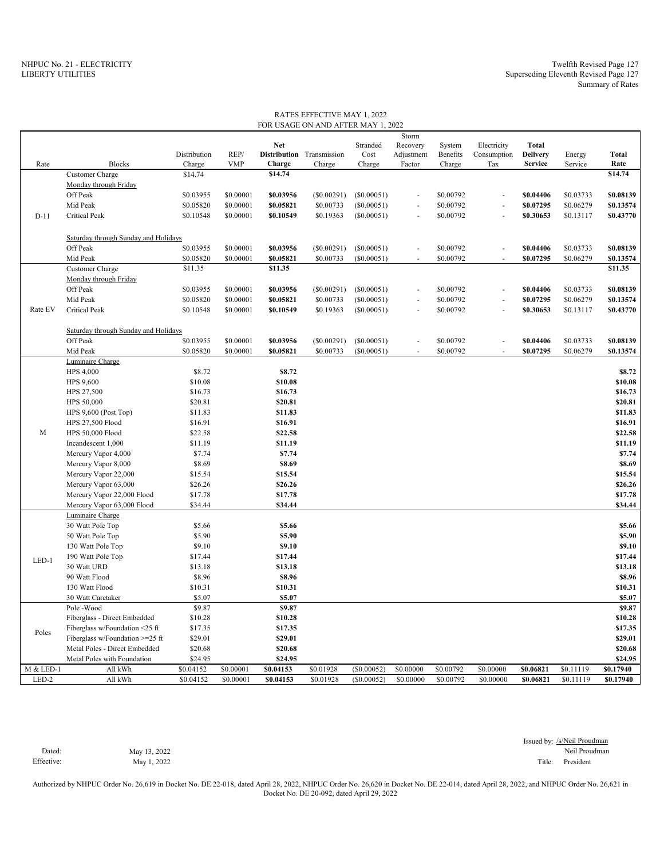|           |                                      |              |            |            | FOR USAGE ON AND AFTER MAY 1, 2022 |            |            |           |                |                 |           |              |
|-----------|--------------------------------------|--------------|------------|------------|------------------------------------|------------|------------|-----------|----------------|-----------------|-----------|--------------|
|           |                                      |              |            |            |                                    |            | Storm      |           |                |                 |           |              |
|           |                                      |              |            | <b>Net</b> |                                    | Stranded   | Recovery   | System    | Electricity    | <b>Total</b>    |           |              |
|           |                                      | Distribution | REP/       |            | Distribution Transmission          | Cost       | Adjustment | Benefits  | Consumption    | <b>Delivery</b> | Energy    | <b>Total</b> |
| Rate      | <b>Blocks</b>                        | Charge       | <b>VMP</b> | Charge     | Charge                             | Charge     | Factor     | Charge    | Tax            | <b>Service</b>  | Service   | Rate         |
|           | Customer Charge                      | \$14.74      |            | \$14.74    |                                    |            |            |           |                |                 |           | \$14.74      |
|           | Monday through Friday                |              |            |            |                                    |            |            |           |                |                 |           |              |
|           | Off Peak                             | \$0.03955    | \$0.00001  | \$0.03956  | $(\$0.00291)$                      | (S0.00051) |            | \$0.00792 |                | \$0.04406       | \$0.03733 | \$0.08139    |
|           | Mid Peak                             | \$0.05820    | \$0.00001  | \$0.05821  | \$0.00733                          | (S0.00051) |            | \$0.00792 |                | \$0.07295       | \$0.06279 | \$0.13574    |
| $D-11$    | <b>Critical Peak</b>                 | \$0.10548    | \$0.00001  | \$0.10549  | \$0.19363                          | (S0.00051) |            | \$0.00792 | ä,             | \$0.30653       | \$0.13117 | \$0.43770    |
|           |                                      |              |            |            |                                    |            |            |           |                |                 |           |              |
|           | Saturday through Sunday and Holidays |              |            |            |                                    |            |            |           |                |                 |           |              |
|           | Off Peak                             | \$0.03955    | \$0.00001  | \$0.03956  | $(\$0.00291)$                      | (S0.00051) |            | \$0.00792 |                | \$0.04406       | \$0.03733 | \$0.08139    |
|           | Mid Peak                             | \$0.05820    | \$0.00001  | \$0.05821  | \$0.00733                          | (S0.00051) | $\sim$     | \$0.00792 | $\overline{a}$ | \$0.07295       | \$0.06279 | \$0.13574    |
|           | Customer Charge                      | \$11.35      |            | \$11.35    |                                    |            |            |           |                |                 |           | \$11.35      |
|           | Monday through Friday                |              |            |            |                                    |            |            |           |                |                 |           |              |
|           | Off Peak                             | \$0.03955    | \$0.00001  | \$0.03956  | $(\$0.00291)$                      | (S0.00051) |            | \$0.00792 |                | \$0.04406       | \$0.03733 | \$0.08139    |
|           | Mid Peak                             | \$0.05820    | \$0.00001  | \$0.05821  | \$0.00733                          | (S0.00051) | ×.         | \$0.00792 | ÷,             | \$0.07295       | \$0.06279 | \$0.13574    |
| Rate EV   | <b>Critical Peak</b>                 | \$0.10548    | \$0.00001  | \$0.10549  | \$0.19363                          | (S0.00051) |            | \$0.00792 |                | \$0.30653       | \$0.13117 | \$0.43770    |
|           |                                      |              |            |            |                                    |            |            |           |                |                 |           |              |
|           | Saturday through Sunday and Holidays |              |            |            |                                    |            |            |           |                |                 |           |              |
|           | Off Peak                             | \$0.03955    | \$0.00001  | \$0.03956  | (\$0.00291)                        | (S0.00051) | ÷.         | \$0.00792 | ÷,             | \$0.04406       | \$0.03733 | \$0.08139    |
|           | Mid Peak                             | \$0.05820    | \$0.00001  | \$0.05821  | \$0.00733                          | (S0.00051) |            | \$0.00792 |                | \$0.07295       | \$0.06279 | \$0.13574    |
|           | Luminaire Charge                     |              |            |            |                                    |            |            |           |                |                 |           |              |
|           | <b>HPS 4,000</b>                     | \$8.72       |            | \$8.72     |                                    |            |            |           |                |                 |           | \$8.72       |
|           | HPS 9,600                            | \$10.08      |            | \$10.08    |                                    |            |            |           |                |                 |           | \$10.08      |
|           | HPS 27,500                           | \$16.73      |            | \$16.73    |                                    |            |            |           |                |                 |           | \$16.73      |
|           | HPS 50,000                           | \$20.81      |            | \$20.81    |                                    |            |            |           |                |                 |           | \$20.81      |
|           | HPS 9,600 (Post Top)                 | \$11.83      |            | \$11.83    |                                    |            |            |           |                |                 |           | \$11.83      |
|           | <b>HPS 27,500 Flood</b>              | \$16.91      |            | \$16.91    |                                    |            |            |           |                |                 |           | \$16.91      |
| M         | HPS 50,000 Flood                     | \$22.58      |            | \$22.58    |                                    |            |            |           |                |                 |           | \$22.58      |
|           | Incandescent 1,000                   | \$11.19      |            | \$11.19    |                                    |            |            |           |                |                 |           | \$11.19      |
|           | Mercury Vapor 4,000                  | \$7.74       |            | \$7.74     |                                    |            |            |           |                |                 |           | \$7.74       |
|           | Mercury Vapor 8,000                  | \$8.69       |            | \$8.69     |                                    |            |            |           |                |                 |           | \$8.69       |
|           | Mercury Vapor 22,000                 | \$15.54      |            | \$15.54    |                                    |            |            |           |                |                 |           | \$15.54      |
|           | Mercury Vapor 63,000                 | \$26.26      |            | \$26.26    |                                    |            |            |           |                |                 |           | \$26.26      |
|           | Mercury Vapor 22,000 Flood           | \$17.78      |            | \$17.78    |                                    |            |            |           |                |                 |           | \$17.78      |
|           | Mercury Vapor 63,000 Flood           | \$34.44      |            | \$34.44    |                                    |            |            |           |                |                 |           | \$34.44      |
|           | Luminaire Charge                     |              |            |            |                                    |            |            |           |                |                 |           |              |
|           | 30 Watt Pole Top                     | \$5.66       |            | \$5.66     |                                    |            |            |           |                |                 |           | \$5.66       |
|           | 50 Watt Pole Top                     | \$5.90       |            | \$5.90     |                                    |            |            |           |                |                 |           | \$5.90       |
|           | 130 Watt Pole Top                    | \$9.10       |            | \$9.10     |                                    |            |            |           |                |                 |           | \$9.10       |
|           |                                      |              |            |            |                                    |            |            |           |                |                 |           |              |
| LED-1     | 190 Watt Pole Top                    | \$17.44      |            | \$17.44    |                                    |            |            |           |                |                 |           | \$17.44      |
|           | 30 Watt URD                          | \$13.18      |            | \$13.18    |                                    |            |            |           |                |                 |           | \$13.18      |
|           | 90 Watt Flood                        | \$8.96       |            | \$8.96     |                                    |            |            |           |                |                 |           | \$8.96       |
|           | 130 Watt Flood                       | \$10.31      |            | \$10.31    |                                    |            |            |           |                |                 |           | \$10.31      |
|           | 30 Watt Caretaker                    | \$5.07       |            | \$5.07     |                                    |            |            |           |                |                 |           | \$5.07       |
|           | Pole-Wood                            | \$9.87       |            | \$9.87     |                                    |            |            |           |                |                 |           | \$9.87       |
|           | Fiberglass - Direct Embedded         | \$10.28      |            | \$10.28    |                                    |            |            |           |                |                 |           | \$10.28      |
| Poles     | Fiberglass w/Foundation <25 ft       | \$17.35      |            | \$17.35    |                                    |            |            |           |                |                 |           | \$17.35      |
|           | Fiberglass w/Foundation >=25 ft      | \$29.01      |            | \$29.01    |                                    |            |            |           |                |                 |           | \$29.01      |
|           | Metal Poles - Direct Embedded        | \$20.68      |            | \$20.68    |                                    |            |            |           |                |                 |           | \$20.68      |
|           | Metal Poles with Foundation          | \$24.95      |            | \$24.95    |                                    |            |            |           |                |                 |           | \$24.95      |
| M & LED-1 | All kWh                              | \$0.04152    | \$0.00001  | \$0.04153  | \$0.01928                          | (S0.00052) | \$0.00000  | \$0.00792 | \$0.00000      | \$0.06821       | \$0.11119 | \$0.17940    |
| $LED-2$   | All kWh                              | \$0.04152    | \$0.00001  | \$0.04153  | \$0.01928                          | (S0.00052) | \$0.00000  | \$0.00792 | \$0.00000      | \$0.06821       | \$0.11119 | \$0.17940    |

RATES EFFECTIVE MAY 1, 2022

Issued by: /s/Neil Proudman Dated: May 13, 2022 May 19, 2022 and the control of the control of the control of the control of the control of the control of the control of the control of the control of the control of the control of the control of the c Effective: May 1, 2022 Title: President

Authorized by NHPUC Order No. 26,619 in Docket No. DE 22-018, dated April 28, 2022, NHPUC Order No. 26,620 in Docket No. DE 22-014, dated April 28, 2022, and NHPUC Order No. 26,621 in Docket No. DE 20-092, dated April 29, 2022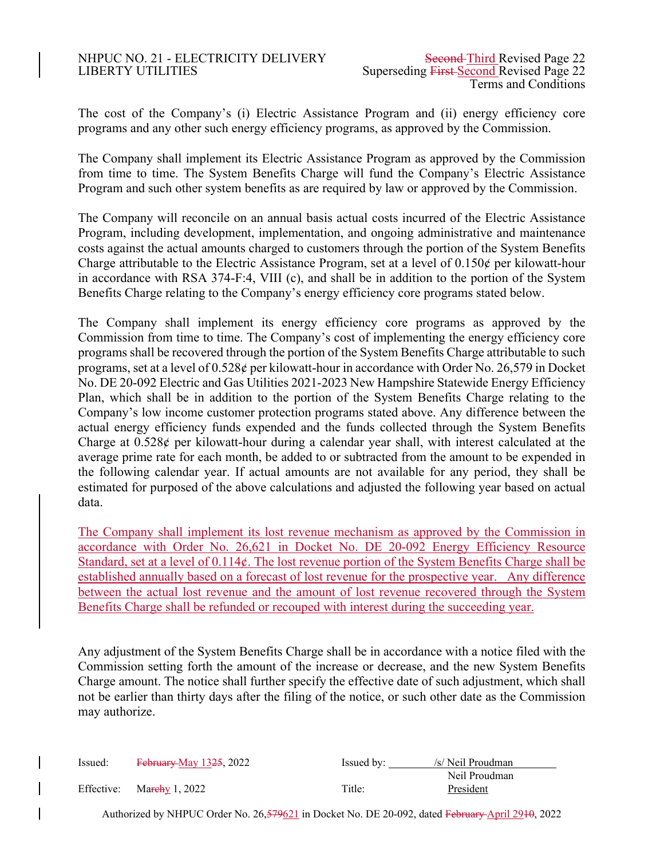## NHPUC NO. 21 - ELECTRICITY DELIVERY Second-Third Revised Page 22 LIBERTY UTILITIES Superseding First Second Revised Page 22

The cost of the Company's (i) Electric Assistance Program and (ii) energy efficiency core programs and any other such energy efficiency programs, as approved by the Commission.

The Company shall implement its Electric Assistance Program as approved by the Commission from time to time. The System Benefits Charge will fund the Company's Electric Assistance Program and such other system benefits as are required by law or approved by the Commission.

The Company will reconcile on an annual basis actual costs incurred of the Electric Assistance Program, including development, implementation, and ongoing administrative and maintenance costs against the actual amounts charged to customers through the portion of the System Benefits Charge attributable to the Electric Assistance Program, set at a level of  $0.150\phi$  per kilowatt-hour in accordance with RSA 374-F:4, VIII (c), and shall be in addition to the portion of the System Benefits Charge relating to the Company's energy efficiency core programs stated below.

The Company shall implement its energy efficiency core programs as approved by the Commission from time to time. The Company's cost of implementing the energy efficiency core programs shall be recovered through the portion of the System Benefits Charge attributable to such programs, set at a level of 0.528¢ per kilowatt-hour in accordance with Order No. 26,579 in Docket No. DE 20-092 Electric and Gas Utilities 2021-2023 New Hampshire Statewide Energy Efficiency Plan, which shall be in addition to the portion of the System Benefits Charge relating to the Company's low income customer protection programs stated above. Any difference between the actual energy efficiency funds expended and the funds collected through the System Benefits Charge at  $0.528\ell$  per kilowatt-hour during a calendar year shall, with interest calculated at the average prime rate for each month, be added to or subtracted from the amount to be expended in the following calendar year. If actual amounts are not available for any period, they shall be estimated for purposed of the above calculations and adjusted the following year based on actual data.

The Company shall implement its lost revenue mechanism as approved by the Commission in accordance with Order No. 26,621 in Docket No. DE 20-092 Energy Efficiency Resource Standard, set at a level of 0.114¢. The lost revenue portion of the System Benefits Charge shall be established annually based on a forecast of lost revenue for the prospective year. Any difference between the actual lost revenue and the amount of lost revenue recovered through the System Benefits Charge shall be refunded or recouped with interest during the succeeding year.

Any adjustment of the System Benefits Charge shall be in accordance with a notice filed with the Commission setting forth the amount of the increase or decrease, and the new System Benefits Charge amount. The notice shall further specify the effective date of such adjustment, which shall not be earlier than thirty days after the filing of the notice, or such other date as the Commission may authorize.

| Issued: | February May 1325, 2022   | Issued by: | /s/ Neil Proudman |
|---------|---------------------------|------------|-------------------|
|         |                           |            | Neil Proudman     |
|         | Effective: Marchy 1, 2022 | Title:     | President         |

Authorized by NHPUC Order No. 26,579621 in Docket No. DE 20-092, dated February April 2910, 2022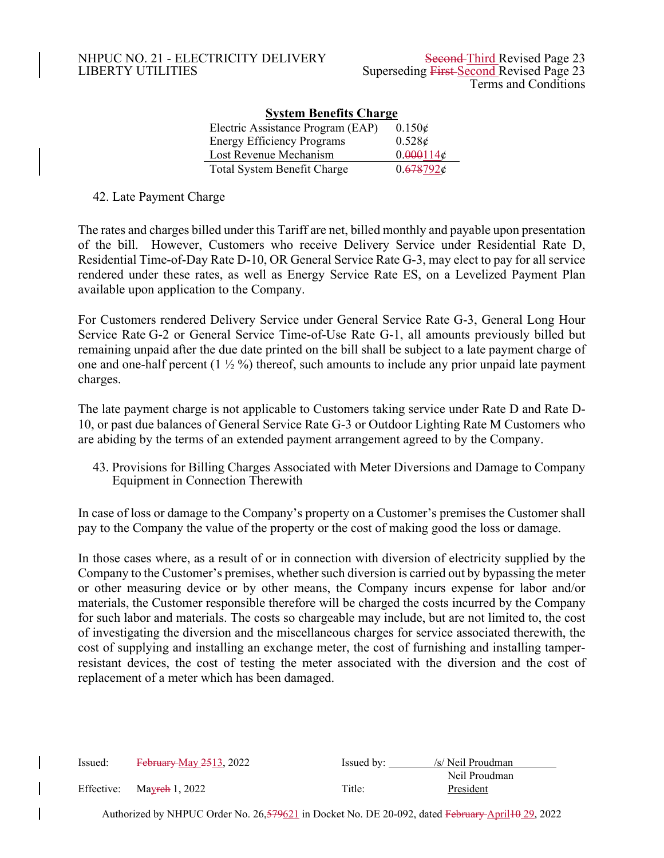| <b>System Benefits Charge</b>      |                 |  |  |  |  |  |  |  |  |  |
|------------------------------------|-----------------|--|--|--|--|--|--|--|--|--|
| Electric Assistance Program (EAP)  | $0.150\epsilon$ |  |  |  |  |  |  |  |  |  |
| <b>Energy Efficiency Programs</b>  | 0.528c          |  |  |  |  |  |  |  |  |  |
| Lost Revenue Mechanism             | 0.000114c       |  |  |  |  |  |  |  |  |  |
| <b>Total System Benefit Charge</b> | 0.678792c       |  |  |  |  |  |  |  |  |  |

42. Late Payment Charge

The rates and charges billed under this Tariff are net, billed monthly and payable upon presentation of the bill. However, Customers who receive Delivery Service under Residential Rate D, Residential Time-of-Day Rate D-10, OR General Service Rate G-3, may elect to pay for all service rendered under these rates, as well as Energy Service Rate ES, on a Levelized Payment Plan available upon application to the Company.

For Customers rendered Delivery Service under General Service Rate G-3, General Long Hour Service Rate G-2 or General Service Time-of-Use Rate G-1, all amounts previously billed but remaining unpaid after the due date printed on the bill shall be subject to a late payment charge of one and one-half percent  $(1 \frac{1}{2} \%)$  thereof, such amounts to include any prior unpaid late payment charges.

The late payment charge is not applicable to Customers taking service under Rate D and Rate D-10, or past due balances of General Service Rate G-3 or Outdoor Lighting Rate M Customers who are abiding by the terms of an extended payment arrangement agreed to by the Company.

43. Provisions for Billing Charges Associated with Meter Diversions and Damage to Company Equipment in Connection Therewith

In case of loss or damage to the Company's property on a Customer's premises the Customer shall pay to the Company the value of the property or the cost of making good the loss or damage.

In those cases where, as a result of or in connection with diversion of electricity supplied by the Company to the Customer's premises, whether such diversion is carried out by bypassing the meter or other measuring device or by other means, the Company incurs expense for labor and/or materials, the Customer responsible therefore will be charged the costs incurred by the Company for such labor and materials. The costs so chargeable may include, but are not limited to, the cost of investigating the diversion and the miscellaneous charges for service associated therewith, the cost of supplying and installing an exchange meter, the cost of furnishing and installing tamperresistant devices, the cost of testing the meter associated with the diversion and the cost of replacement of a meter which has been damaged.

| Issued:    | February May 2513, 2022                                                                         | Issued by: | /s/ Neil Proudman |
|------------|-------------------------------------------------------------------------------------------------|------------|-------------------|
|            |                                                                                                 |            | Neil Proudman     |
| Effective: | Mayreh 1, 2022                                                                                  | Title:     | President         |
|            | Authorized by NHPUC Order No. 26,579621 in Docket No. DE 20-092, dated February April 4 29, 202 |            |                   |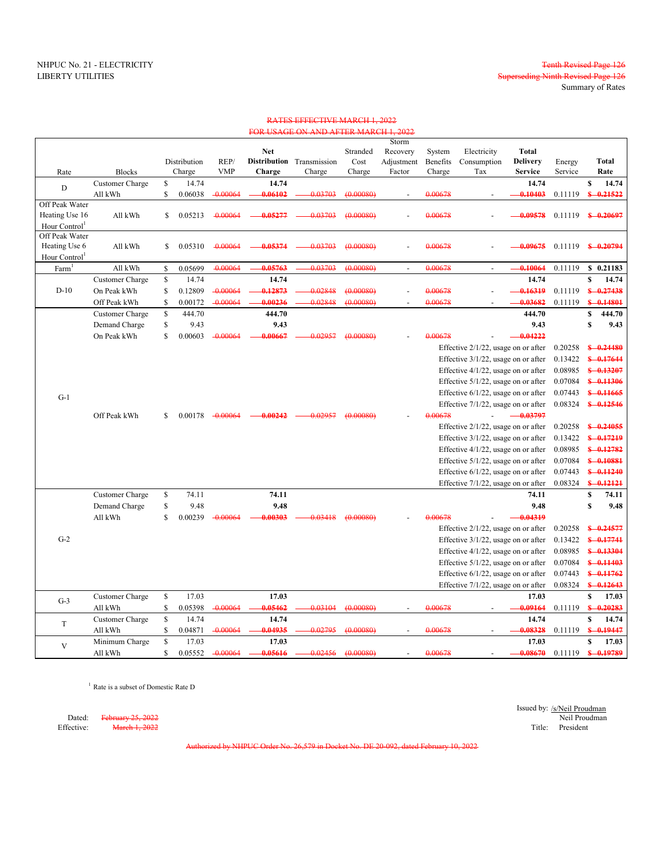Summary of Rates

Superseding Ninth Revised Page 126

# NHPUC No. 21 - ELECTRICITY<br>LIBERTY UTILITIES Superseding Ninth Revised Page 126

### RATES EFFECTIVE MARCH 1, 2022 FOR USAGE ON AND AFTER MARCH 1, 2022

|                           |                 |               |            |            |                           |           | Storm          |          |                                     |                 |         |                      |
|---------------------------|-----------------|---------------|------------|------------|---------------------------|-----------|----------------|----------|-------------------------------------|-----------------|---------|----------------------|
|                           |                 |               |            | <b>Net</b> |                           | Stranded  | Recovery       | System   | Electricity                         | <b>Total</b>    |         |                      |
|                           |                 | Distribution  | REP/       |            | Distribution Transmission | Cost      | Adjustment     | Benefits | Consumption                         | <b>Delivery</b> | Energy  | Total                |
| Rate                      | <b>Blocks</b>   | Charge        | <b>VMP</b> | Charge     | Charge                    | Charge    | Factor         | Charge   | Tax                                 | <b>Service</b>  | Service | Rate                 |
| D                         | Customer Charge | \$<br>14.74   |            | 14.74      |                           |           |                |          |                                     | 14.74           |         | $\mathbf S$<br>14.74 |
|                           | All kWh         | \$<br>0.06038 | $-0.00064$ | 0.06102    | 0.03703                   | (0.00080) |                | 0.00678  |                                     | 0.10403         | 0.11119 | $$-0.21522$          |
| Off Peak Water            |                 |               |            |            |                           |           |                |          |                                     |                 |         |                      |
| Heating Use 16            | All kWh         | \$<br>0.05213 | $-0.00064$ | 0.05277    | 0.03703                   | (0.00080) |                | 0.00678  |                                     | 0.09578         | 0.11119 | $$-0.20697$          |
| Hour Control              |                 |               |            |            |                           |           |                |          |                                     |                 |         |                      |
| Off Peak Water            |                 |               |            |            |                           |           |                |          |                                     |                 |         |                      |
| Heating Use 6             | All kWh         | \$<br>0.05310 | $-0.00064$ | 0.05374    | 0.03703                   | (0.00080) |                | 0.00678  |                                     | 0.09675         | 0.11119 | $$ -0.20794$         |
| Hour Control <sup>1</sup> |                 |               |            |            |                           |           |                |          |                                     |                 |         |                      |
| Farm                      | All kWh         | \$<br>0.05699 | $-0.00064$ | 0.05763    | 0.03703                   | (0.00080) | $\blacksquare$ | 0.00678  |                                     | 0.10064         | 0.11119 | \$0.21183            |
|                           | Customer Charge | \$<br>14.74   |            | 14.74      |                           |           |                |          |                                     | 14.74           |         | \$<br>14.74          |
| $D-10$                    | On Peak kWh     | \$<br>0.12809 | $-0.00064$ | 0.12873    | 0.02848                   | (0.00080) |                | 0.00678  |                                     | 0.16319         | 0.11119 | $$ -0.27438$         |
|                           | Off Peak kWh    | \$<br>0.00172 | $-0.00064$ | 0.00236    | 0.02848                   | (0.00080) |                | 0.00678  |                                     | 0.03682         | 0.11119 | $$ -0.14801$         |
|                           | Customer Charge | \$<br>444.70  |            | 444.70     |                           |           |                |          |                                     | 444.70          |         | \$<br>444.70         |
|                           | Demand Charge   | \$<br>9.43    |            | 9.43       |                           |           |                |          |                                     | 9.43            |         | $\mathbf S$<br>9.43  |
|                           | On Peak kWh     | \$<br>0.00603 | $-0.00064$ | 0.00667    | 0.02957                   | (0.00080) |                | 0.00678  |                                     | 0.04222         |         |                      |
|                           |                 |               |            |            |                           |           |                |          | Effective 2/1/22, usage on or after |                 | 0.20258 | $$ -0.24480$         |
|                           |                 |               |            |            |                           |           |                |          | Effective 3/1/22, usage on or after |                 | 0.13422 | $$ -0.17644$         |
|                           |                 |               |            |            |                           |           |                |          | Effective 4/1/22, usage on or after |                 | 0.08985 | $$ -0.13207$         |
|                           |                 |               |            |            |                           |           |                |          | Effective 5/1/22, usage on or after |                 | 0.07084 | $$ -0.11306$         |
|                           |                 |               |            |            |                           |           |                |          | Effective 6/1/22, usage on or after |                 | 0.07443 | $$ -0.11665$         |
| $G-1$                     |                 |               |            |            |                           |           |                |          |                                     |                 |         |                      |
|                           |                 |               |            |            |                           |           |                |          | Effective 7/1/22, usage on or after |                 | 0.08324 | $$ -0.12546$         |
|                           | Off Peak kWh    | \$<br>0.00178 | $-0.00064$ | 0.00242    | 0.02957                   | (0.00080) |                | 0.00678  |                                     | $-0.03797$      |         |                      |
|                           |                 |               |            |            |                           |           |                |          | Effective 2/1/22, usage on or after |                 | 0.20258 | $$ -0.24055$         |
|                           |                 |               |            |            |                           |           |                |          | Effective 3/1/22, usage on or after |                 | 0.13422 | $$ -0.17219$         |
|                           |                 |               |            |            |                           |           |                |          | Effective 4/1/22, usage on or after |                 | 0.08985 | $$ -0.12782$         |
|                           |                 |               |            |            |                           |           |                |          | Effective 5/1/22, usage on or after |                 | 0.07084 | $$ -0.10881$         |
|                           |                 |               |            |            |                           |           |                |          | Effective 6/1/22, usage on or after |                 | 0.07443 | $$ -0.11240$         |
|                           |                 |               |            |            |                           |           |                |          | Effective 7/1/22, usage on or after |                 | 0.08324 | $$ -0.12121$         |
|                           | Customer Charge | \$<br>74.11   |            | 74.11      |                           |           |                |          |                                     | 74.11           |         | \$<br>74.11          |
|                           | Demand Charge   | \$<br>9.48    |            | 9.48       |                           |           |                |          |                                     | 9.48            |         | \$<br>9.48           |
|                           | All kWh         | \$<br>0.00239 | $-0.00064$ | 0.00303    | 0.03418                   | (0.00080) |                | 0.00678  |                                     | $-0.04319$      |         |                      |
|                           |                 |               |            |            |                           |           |                |          | Effective 2/1/22, usage on or after |                 | 0.20258 | $$ -0.24577$         |
| $G-2$                     |                 |               |            |            |                           |           |                |          | Effective 3/1/22, usage on or after |                 | 0.13422 | $$ -0.17741$         |
|                           |                 |               |            |            |                           |           |                |          | Effective 4/1/22, usage on or after |                 | 0.08985 | $$ -0.13304$         |
|                           |                 |               |            |            |                           |           |                |          | Effective 5/1/22, usage on or after |                 | 0.07084 | $$ -0.11403$         |
|                           |                 |               |            |            |                           |           |                |          | Effective 6/1/22, usage on or after |                 | 0.07443 | $$ -0.11762$         |
|                           |                 |               |            |            |                           |           |                |          | Effective 7/1/22, usage on or after |                 | 0.08324 | $$ -0.12643$         |
|                           | Customer Charge | \$<br>17.03   |            | 17.03      |                           |           |                |          |                                     | 17.03           |         | \$<br>17.03          |
| $G-3$                     | All kWh         | \$<br>0.05398 | $-0.00064$ | 0.05462    | 0.03104                   | (0.00080) |                | 0.00678  |                                     | 0.09164         | 0.11119 | $$ -0.20283$         |
|                           | Customer Charge | \$<br>14.74   |            | 14.74      |                           |           |                |          |                                     | 14.74           |         | \$<br>14.74          |
| T                         |                 | \$<br>0.04871 | $-0.00064$ |            | 0.02795                   | (0.00080) |                | 0.00678  |                                     | 0.08328         |         | $$ -0.19447$         |
|                           | All kWh         | 17.03         |            | 0.04935    |                           |           |                |          |                                     |                 | 0.11119 |                      |
| V                         | Minimum Charge  | \$            |            | 17.03      |                           |           |                |          |                                     | 17.03           |         | \$<br>17.03          |
|                           | All kWh         | \$<br>0.05552 | $-0.00064$ | 0.05616    | 0.02456                   | (0.00080) |                | 0.00678  |                                     | 0.08670         | 0.11119 | $$ -0.19789$         |

<sup>1</sup> Rate is a subset of Domestic Rate D

Issued by: /s/Neil Proudman<br>Neil Proudman Dated: February 25, 2022 Neil Proudman Neil Proudman Neil Proudman Neil Proudman Neil Proudman Neil Proudman Neil Proudman Effective: <del>March 1, 2022</del> Title: President

Authorized by NHPUC Order No. 26,579 in Docket No. DE 20-092, dated February 10, 2022